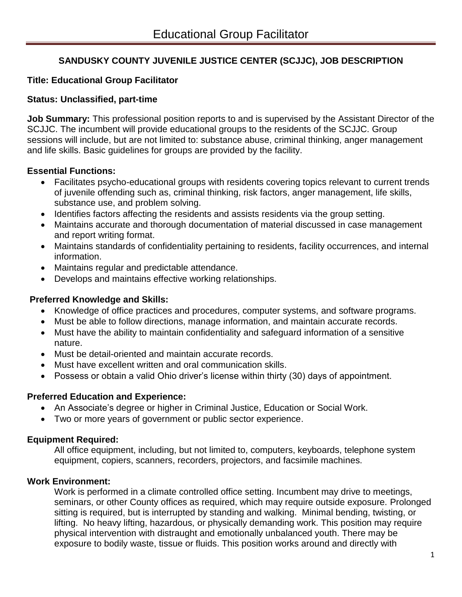# **SANDUSKY COUNTY JUVENILE JUSTICE CENTER (SCJJC), JOB DESCRIPTION**

# **Title: Educational Group Facilitator**

#### **Status: Unclassified, part-time**

**Job Summary:** This professional position reports to and is supervised by the Assistant Director of the SCJJC. The incumbent will provide educational groups to the residents of the SCJJC. Group sessions will include, but are not limited to: substance abuse, criminal thinking, anger management and life skills. Basic guidelines for groups are provided by the facility.

#### **Essential Functions:**

- Facilitates psycho-educational groups with residents covering topics relevant to current trends of juvenile offending such as, criminal thinking, risk factors, anger management, life skills, substance use, and problem solving.
- Identifies factors affecting the residents and assists residents via the group setting.
- Maintains accurate and thorough documentation of material discussed in case management and report writing format.
- Maintains standards of confidentiality pertaining to residents, facility occurrences, and internal information.
- Maintains regular and predictable attendance.
- Develops and maintains effective working relationships.

#### **Preferred Knowledge and Skills:**

- Knowledge of office practices and procedures, computer systems, and software programs.
- Must be able to follow directions, manage information, and maintain accurate records.
- Must have the ability to maintain confidentiality and safeguard information of a sensitive nature.
- Must be detail-oriented and maintain accurate records.
- Must have excellent written and oral communication skills.
- Possess or obtain a valid Ohio driver's license within thirty (30) days of appointment.

# **Preferred Education and Experience:**

- An Associate's degree or higher in Criminal Justice, Education or Social Work.
- Two or more years of government or public sector experience.

# **Equipment Required:**

All office equipment, including, but not limited to, computers, keyboards, telephone system equipment, copiers, scanners, recorders, projectors, and facsimile machines.

# **Work Environment:**

Work is performed in a climate controlled office setting. Incumbent may drive to meetings, seminars, or other County offices as required, which may require outside exposure. Prolonged sitting is required, but is interrupted by standing and walking. Minimal bending, twisting, or lifting. No heavy lifting, hazardous, or physically demanding work. This position may require physical intervention with distraught and emotionally unbalanced youth. There may be exposure to bodily waste, tissue or fluids. This position works around and directly with